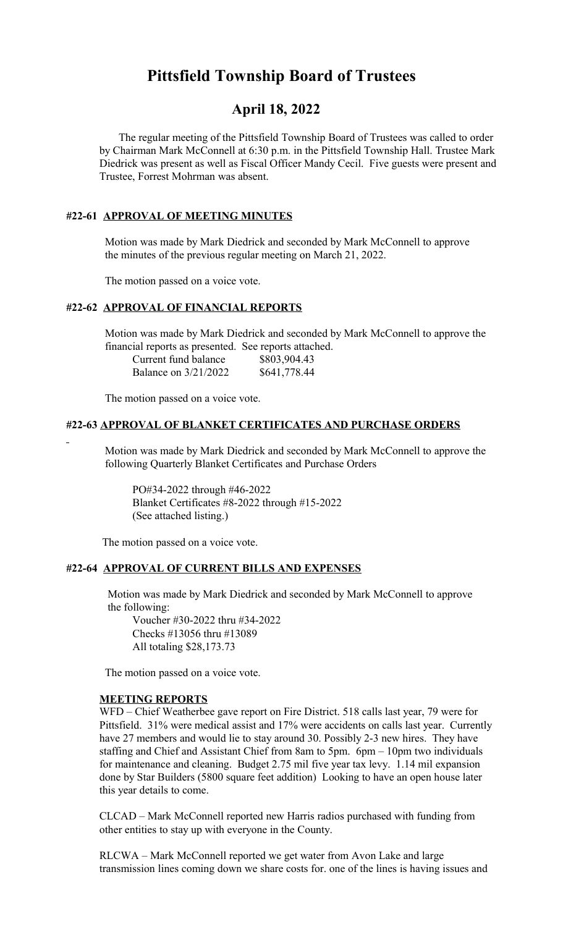# **Pittsfield Township Board of Trustees**

## **April 18, 2022**

 The regular meeting of the Pittsfield Township Board of Trustees was called to order by Chairman Mark McConnell at 6:30 p.m. in the Pittsfield Township Hall. Trustee Mark Diedrick was present as well as Fiscal Officer Mandy Cecil. Five guests were present and Trustee, Forrest Mohrman was absent.

## **#22-61 APPROVAL OF MEETING MINUTES**

 Motion was made by Mark Diedrick and seconded by Mark McConnell to approve the minutes of the previous regular meeting on March 21, 2022.

The motion passed on a voice vote.

#### **#22-62 APPROVAL OF FINANCIAL REPORTS**

 Motion was made by Mark Diedrick and seconded by Mark McConnell to approve the financial reports as presented. See reports attached.

| Current fund balance | \$803,904.43 |
|----------------------|--------------|
| Balance on 3/21/2022 | \$641,778.44 |

The motion passed on a voice vote.

#### **#22-63 APPROVAL OF BLANKET CERTIFICATES AND PURCHASE ORDERS**

 Motion was made by Mark Diedrick and seconded by Mark McConnell to approve the following Quarterly Blanket Certificates and Purchase Orders

PO#34-2022 through #46-2022 Blanket Certificates #8-2022 through #15-2022 (See attached listing.)

The motion passed on a voice vote.

#### **#22-64 APPROVAL OF CURRENT BILLS AND EXPENSES**

 Motion was made by Mark Diedrick and seconded by Mark McConnell to approve the following:

Voucher #30-2022 thru #34-2022 Checks #13056 thru #13089 All totaling \$28,173.73

The motion passed on a voice vote.

#### **MEETING REPORTS**

WFD – Chief Weatherbee gave report on Fire District. 518 calls last year, 79 were for Pittsfield. 31% were medical assist and 17% were accidents on calls last year. Currently have 27 members and would lie to stay around 30. Possibly 2-3 new hires. They have staffing and Chief and Assistant Chief from 8am to 5pm. 6pm – 10pm two individuals for maintenance and cleaning. Budget 2.75 mil five year tax levy. 1.14 mil expansion done by Star Builders (5800 square feet addition) Looking to have an open house later this year details to come.

CLCAD – Mark McConnell reported new Harris radios purchased with funding from other entities to stay up with everyone in the County.

RLCWA – Mark McConnell reported we get water from Avon Lake and large transmission lines coming down we share costs for. one of the lines is having issues and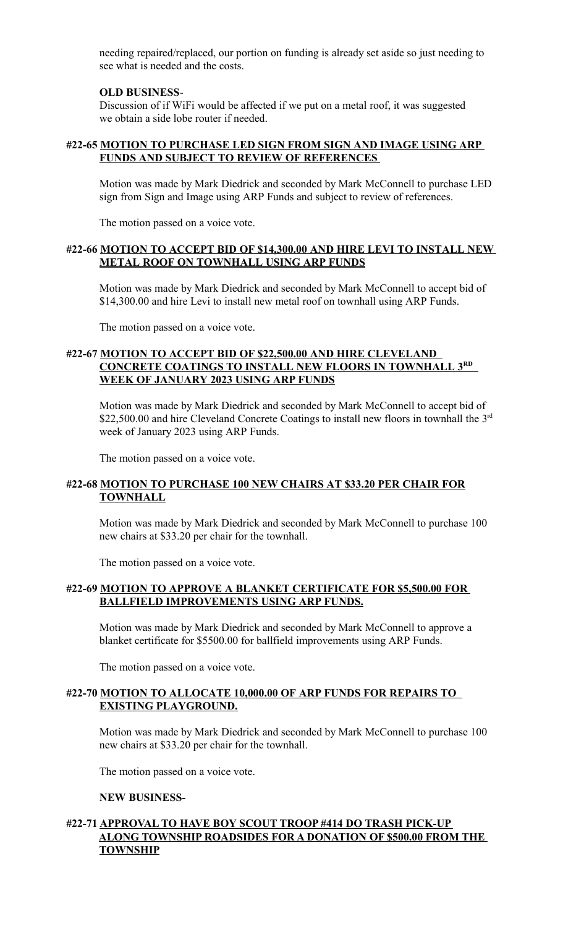needing repaired/replaced, our portion on funding is already set aside so just needing to see what is needed and the costs.

#### **OLD BUSINESS**-

Discussion of if WiFi would be affected if we put on a metal roof, it was suggested we obtain a side lobe router if needed.

#### **#22-65 MOTION TO PURCHASE LED SIGN FROM SIGN AND IMAGE USING ARP FUNDS AND SUBJECT TO REVIEW OF REFERENCES**

Motion was made by Mark Diedrick and seconded by Mark McConnell to purchase LED sign from Sign and Image using ARP Funds and subject to review of references.

The motion passed on a voice vote.

## **#22-66 MOTION TO ACCEPT BID OF \$14,300.00 AND HIRE LEVI TO INSTALL NEW METAL ROOF ON TOWNHALL USING ARP FUNDS**

Motion was made by Mark Diedrick and seconded by Mark McConnell to accept bid of \$14,300.00 and hire Levi to install new metal roof on townhall using ARP Funds.

The motion passed on a voice vote.

## **#22-67 MOTION TO ACCEPT BID OF \$22,500.00 AND HIRE CLEVELAND CONCRETE COATINGS TO INSTALL NEW FLOORS IN TOWNHALL 3RD WEEK OF JANUARY 2023 USING ARP FUNDS**

Motion was made by Mark Diedrick and seconded by Mark McConnell to accept bid of \$22,500.00 and hire Cleveland Concrete Coatings to install new floors in townhall the  $3<sup>rd</sup>$ week of January 2023 using ARP Funds.

The motion passed on a voice vote.

## **#22-68 MOTION TO PURCHASE 100 NEW CHAIRS AT \$33.20 PER CHAIR FOR TOWNHALL**

Motion was made by Mark Diedrick and seconded by Mark McConnell to purchase 100 new chairs at \$33.20 per chair for the townhall.

The motion passed on a voice vote.

#### **#22-69 MOTION TO APPROVE A BLANKET CERTIFICATE FOR \$5,500.00 FOR BALLFIELD IMPROVEMENTS USING ARP FUNDS.**

Motion was made by Mark Diedrick and seconded by Mark McConnell to approve a blanket certificate for \$5500.00 for ballfield improvements using ARP Funds.

The motion passed on a voice vote.

#### **#22-70 MOTION TO ALLOCATE 10,000.00 OF ARP FUNDS FOR REPAIRS TO EXISTING PLAYGROUND.**

Motion was made by Mark Diedrick and seconded by Mark McConnell to purchase 100 new chairs at \$33.20 per chair for the townhall.

The motion passed on a voice vote.

#### **NEW BUSINESS-**

## **#22-71 APPROVAL TO HAVE BOY SCOUT TROOP #414 DO TRASH PICK-UP ALONG TOWNSHIP ROADSIDES FOR A DONATION OF \$500.00 FROM THE TOWNSHIP**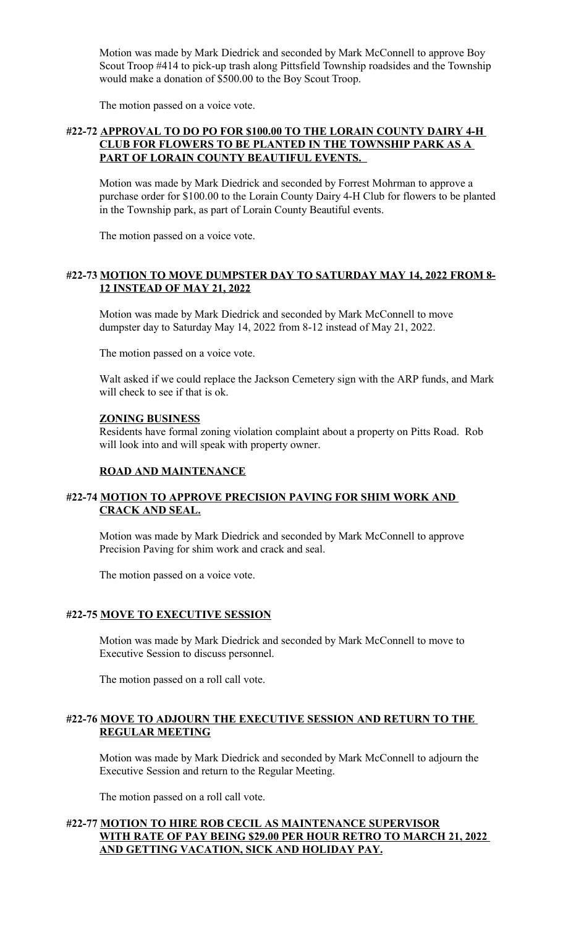Motion was made by Mark Diedrick and seconded by Mark McConnell to approve Boy Scout Troop #414 to pick-up trash along Pittsfield Township roadsides and the Township would make a donation of \$500.00 to the Boy Scout Troop.

The motion passed on a voice vote.

## **#22-72 APPROVAL TO DO PO FOR \$100.00 TO THE LORAIN COUNTY DAIRY 4-H CLUB FOR FLOWERS TO BE PLANTED IN THE TOWNSHIP PARK AS A PART OF LORAIN COUNTY BEAUTIFUL EVENTS.**

Motion was made by Mark Diedrick and seconded by Forrest Mohrman to approve a purchase order for \$100.00 to the Lorain County Dairy 4-H Club for flowers to be planted in the Township park, as part of Lorain County Beautiful events.

The motion passed on a voice vote.

## **#22-73 MOTION TO MOVE DUMPSTER DAY TO SATURDAY MAY 14, 2022 FROM 8- 12 INSTEAD OF MAY 21, 2022**

Motion was made by Mark Diedrick and seconded by Mark McConnell to move dumpster day to Saturday May 14, 2022 from 8-12 instead of May 21, 2022.

The motion passed on a voice vote.

Walt asked if we could replace the Jackson Cemetery sign with the ARP funds, and Mark will check to see if that is ok.

#### **ZONING BUSINESS**

Residents have formal zoning violation complaint about a property on Pitts Road. Rob will look into and will speak with property owner.

#### **ROAD AND MAINTENANCE**

## **#22-74 MOTION TO APPROVE PRECISION PAVING FOR SHIM WORK AND CRACK AND SEAL.**

Motion was made by Mark Diedrick and seconded by Mark McConnell to approve Precision Paving for shim work and crack and seal.

The motion passed on a voice vote.

#### **#22-75 MOVE TO EXECUTIVE SESSION**

Motion was made by Mark Diedrick and seconded by Mark McConnell to move to Executive Session to discuss personnel.

The motion passed on a roll call vote.

## **#22-76 MOVE TO ADJOURN THE EXECUTIVE SESSION AND RETURN TO THE REGULAR MEETING**

Motion was made by Mark Diedrick and seconded by Mark McConnell to adjourn the Executive Session and return to the Regular Meeting.

The motion passed on a roll call vote.

## **#22-77 MOTION TO HIRE ROB CECIL AS MAINTENANCE SUPERVISOR WITH RATE OF PAY BEING \$29.00 PER HOUR RETRO TO MARCH 21, 2022 AND GETTING VACATION, SICK AND HOLIDAY PAY.**